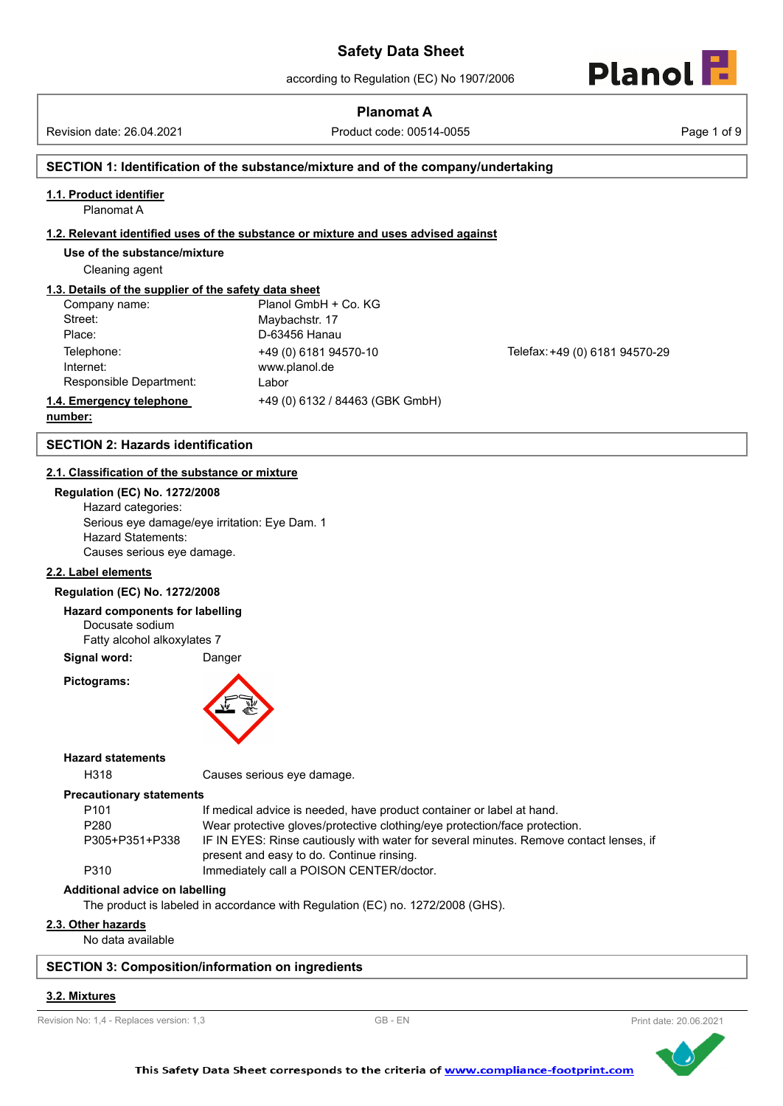# **Planomat A**

Revision date: 26.04.2021 Product code: 00514-0055 Page 1 of 9



# **SECTION 1: Identification of the substance/mixture and of the company/undertaking**

### **1.1. Product identifier**

Planomat A

#### **1.2. Relevant identified uses of the substance or mixture and uses advised against**

**Use of the substance/mixture**

Cleaning agent

# **1.3. Details of the supplier of the safety data sheet**

| Company name:            | Planol GmbH + Co. KG            |
|--------------------------|---------------------------------|
| Street:                  | Maybachstr. 17                  |
| Place:                   | D-63456 Hanau                   |
| Telephone:               | +49 (0) 6181 94570-10           |
| Internet:                | www.planol.de                   |
| Responsible Department:  | Labor                           |
| 1.4. Emergency telephone | +49 (0) 6132 / 84463 (GBK GmbH) |

Telefax: +49 (0) 6181 94570-29

# **number:**

# **SECTION 2: Hazards identification**

#### **2.1. Classification of the substance or mixture**

**Regulation (EC) No. 1272/2008** Hazard categories: Serious eye damage/eye irritation: Eye Dam. 1 Hazard Statements: Causes serious eye damage.

#### **2.2. Label elements**

#### **Regulation (EC) No. 1272/2008**

#### **Hazard components for labelling**

Docusate sodium

Fatty alcohol alkoxylates 7

**Signal word:** Danger

#### **Pictograms:**



**Hazard statements**

H318 Causes serious eye damage.

# **Precautionary statements**

| P <sub>101</sub> | If medical advice is needed, have product container or label at hand.                  |
|------------------|----------------------------------------------------------------------------------------|
| P <sub>280</sub> | Wear protective gloves/protective clothing/eye protection/face protection.             |
| P305+P351+P338   | IF IN EYES: Rinse cautiously with water for several minutes. Remove contact lenses, if |
|                  | present and easy to do. Continue rinsing.                                              |
| P310             | Immediately call a POISON CENTER/doctor.                                               |

**Additional advice on labelling**

The product is labeled in accordance with Regulation (EC) no. 1272/2008 (GHS).

# **2.3. Other hazards**

No data available

#### **SECTION 3: Composition/information on ingredients**

#### **3.2. Mixtures**

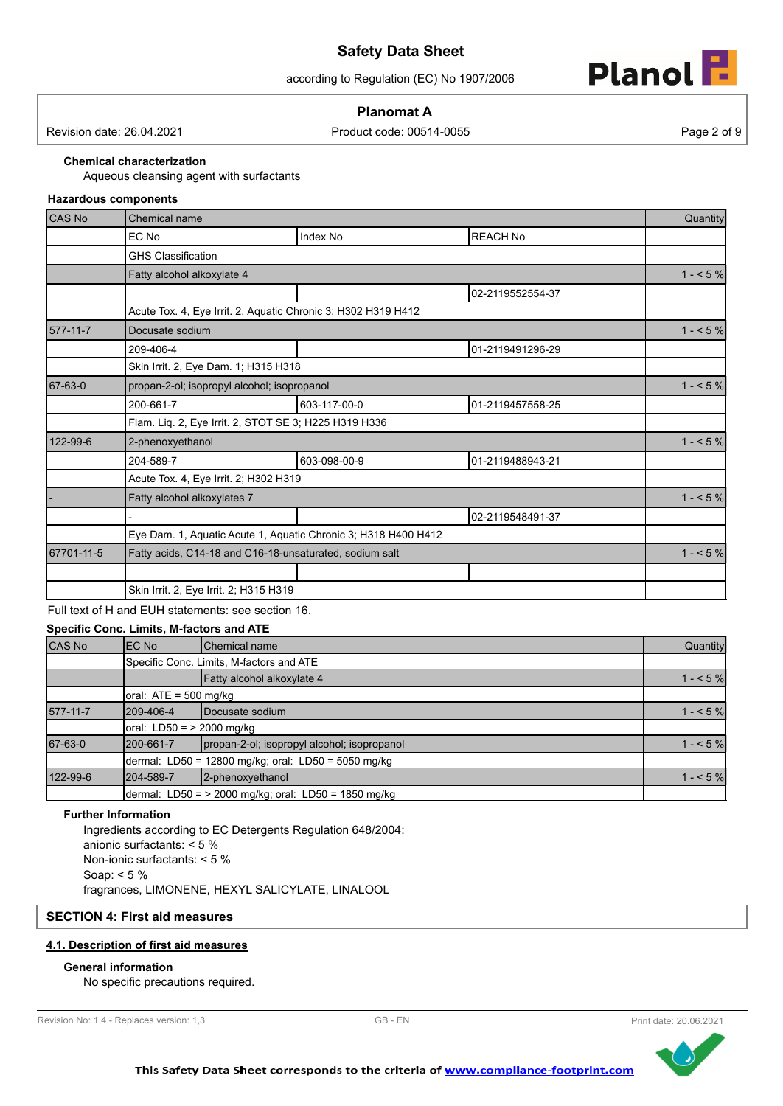according to Regulation (EC) No 1907/2006



# **Planomat A**

Revision date: 26.04.2021 Product code: 00514-0055 Page 2 of 9

**Chemical characterization**

Aqueous cleansing agent with surfactants

# **Hazardous components**

| <b>CAS No</b> | <b>Chemical name</b>                                    |                                                                |                  |           |  |
|---------------|---------------------------------------------------------|----------------------------------------------------------------|------------------|-----------|--|
|               | EC No                                                   | Index No                                                       | <b>REACH No</b>  |           |  |
|               | <b>GHS Classification</b>                               |                                                                |                  |           |  |
|               | Fatty alcohol alkoxylate 4                              |                                                                |                  | $1 - 5\%$ |  |
|               |                                                         |                                                                | 02-2119552554-37 |           |  |
|               |                                                         | Acute Tox. 4, Eye Irrit. 2, Aquatic Chronic 3; H302 H319 H412  |                  |           |  |
| 577-11-7      | Docusate sodium                                         |                                                                |                  | $1 - 5%$  |  |
|               | 209-406-4                                               |                                                                | 01-2119491296-29 |           |  |
|               | Skin Irrit. 2, Eye Dam. 1; H315 H318                    |                                                                |                  |           |  |
| 67-63-0       | propan-2-ol; isopropyl alcohol; isopropanol             |                                                                |                  |           |  |
|               | 200-661-7                                               | 603-117-00-0                                                   | 01-2119457558-25 |           |  |
|               | Flam. Liq. 2, Eye Irrit. 2, STOT SE 3; H225 H319 H336   |                                                                |                  |           |  |
| 122-99-6      | 2-phenoxyethanol                                        |                                                                |                  | $1 - 5\%$ |  |
|               | 204-589-7                                               | 603-098-00-9                                                   | 01-2119488943-21 |           |  |
|               | Acute Tox. 4, Eye Irrit. 2; H302 H319                   |                                                                |                  |           |  |
|               | Fatty alcohol alkoxylates 7                             |                                                                |                  | $1 - 5%$  |  |
|               |                                                         |                                                                | 02-2119548491-37 |           |  |
|               |                                                         | Eye Dam. 1, Aquatic Acute 1, Aquatic Chronic 3; H318 H400 H412 |                  |           |  |
| 67701-11-5    | Fatty acids, C14-18 and C16-18-unsaturated, sodium salt |                                                                |                  |           |  |
|               |                                                         |                                                                |                  |           |  |
|               | Skin Irrit. 2, Eye Irrit. 2; H315 H319                  |                                                                |                  |           |  |

Full text of H and EUH statements: see section 16.

# **Specific Conc. Limits, M-factors and ATE**

| CAS No   | IEC No                             | <b>Chemical name</b>                                   | Quantity |
|----------|------------------------------------|--------------------------------------------------------|----------|
|          |                                    | Specific Conc. Limits, M-factors and ATE               |          |
|          |                                    | Fatty alcohol alkoxylate 4                             | $1 - 5%$ |
|          | oral: $ATE = 500$ mg/kg            |                                                        |          |
| 577-11-7 | 209-406-4                          | Docusate sodium                                        | $1 - 5%$ |
|          | $\sigma$ oral: LD50 = > 2000 mg/kg |                                                        |          |
| 67-63-0  | 200-661-7                          | propan-2-ol; isopropyl alcohol; isopropanol            | $1 - 5%$ |
|          |                                    | dermal: LD50 = 12800 mg/kg; oral: LD50 = 5050 mg/kg    |          |
| 122-99-6 | 204-589-7                          | 2-phenoxyethanol                                       | $1 - 5%$ |
|          |                                    | dermal: LD50 = $>$ 2000 mg/kg; oral: LD50 = 1850 mg/kg |          |

### **Further Information**

Ingredients according to EC Detergents Regulation 648/2004: anionic surfactants: < 5 % Non-ionic surfactants: < 5 % Soap: < 5 % fragrances, LIMONENE, HEXYL SALICYLATE, LINALOOL

# **SECTION 4: First aid measures**

## **4.1. Description of first aid measures**

# **General information**

No specific precautions required.



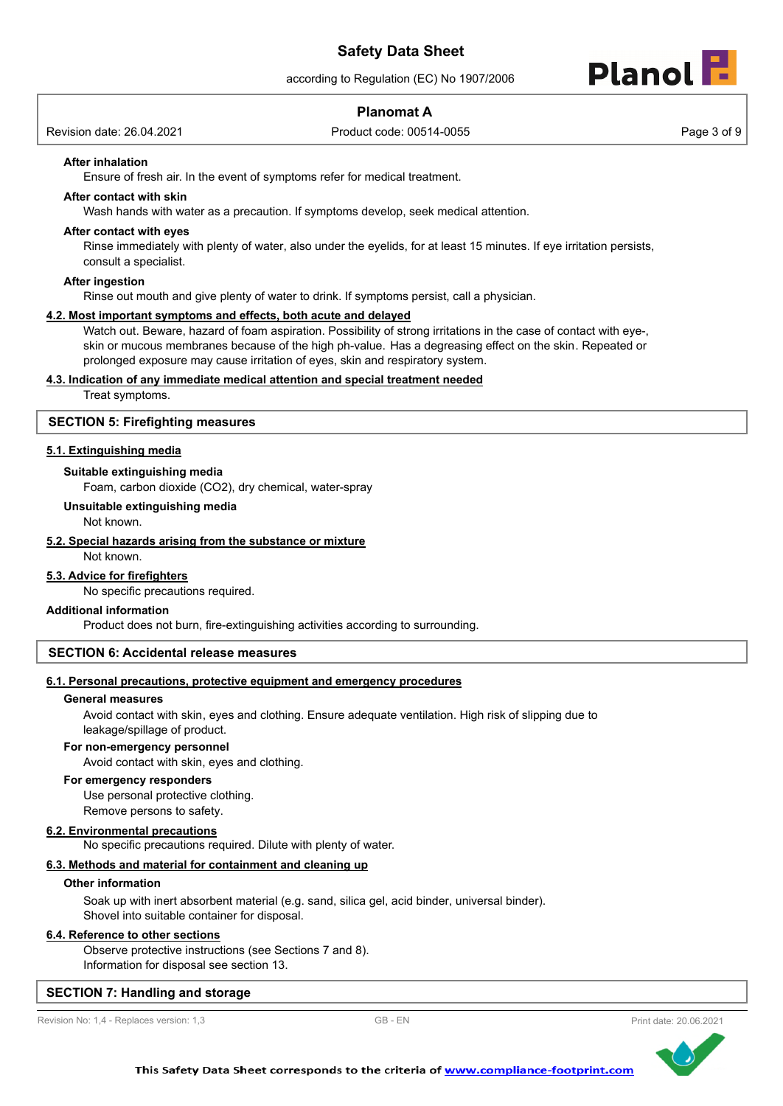according to Regulation (EC) No 1907/2006

# **Planomat A**

Revision date: 26.04.2021 Product code: 00514-0055 Page 3 of 9

**Planol** 

# **After inhalation**

Ensure of fresh air. In the event of symptoms refer for medical treatment.

## **After contact with skin**

Wash hands with water as a precaution. If symptoms develop, seek medical attention.

#### **After contact with eyes**

Rinse immediately with plenty of water, also under the eyelids, for at least 15 minutes. If eye irritation persists, consult a specialist.

#### **After ingestion**

Rinse out mouth and give plenty of water to drink. If symptoms persist, call a physician.

## **4.2. Most important symptoms and effects, both acute and delayed**

Watch out. Beware, hazard of foam aspiration. Possibility of strong irritations in the case of contact with eye-, skin or mucous membranes because of the high ph-value. Has a degreasing effect on the skin. Repeated or prolonged exposure may cause irritation of eyes, skin and respiratory system.

#### **4.3. Indication of any immediate medical attention and special treatment needed**

Treat symptoms.

#### **SECTION 5: Firefighting measures**

#### **5.1. Extinguishing media**

#### **Suitable extinguishing media**

Foam, carbon dioxide (CO2), dry chemical, water-spray

## **Unsuitable extinguishing media**

Not known.

## **5.2. Special hazards arising from the substance or mixture**

Not known.

#### **5.3. Advice for firefighters**

No specific precautions required.

#### **Additional information**

Product does not burn, fire-extinguishing activities according to surrounding.

#### **SECTION 6: Accidental release measures**

#### **6.1. Personal precautions, protective equipment and emergency procedures**

#### **General measures**

Avoid contact with skin, eyes and clothing. Ensure adequate ventilation. High risk of slipping due to leakage/spillage of product.

#### **For non-emergency personnel**

Avoid contact with skin, eyes and clothing.

#### **For emergency responders**

Use personal protective clothing. Remove persons to safety.

#### **6.2. Environmental precautions**

No specific precautions required. Dilute with plenty of water.

## **6.3. Methods and material for containment and cleaning up**

#### **Other information**

Soak up with inert absorbent material (e.g. sand, silica gel, acid binder, universal binder). Shovel into suitable container for disposal.

#### **6.4. Reference to other sections**

Observe protective instructions (see Sections 7 and 8). Information for disposal see section 13.

#### **SECTION 7: Handling and storage**



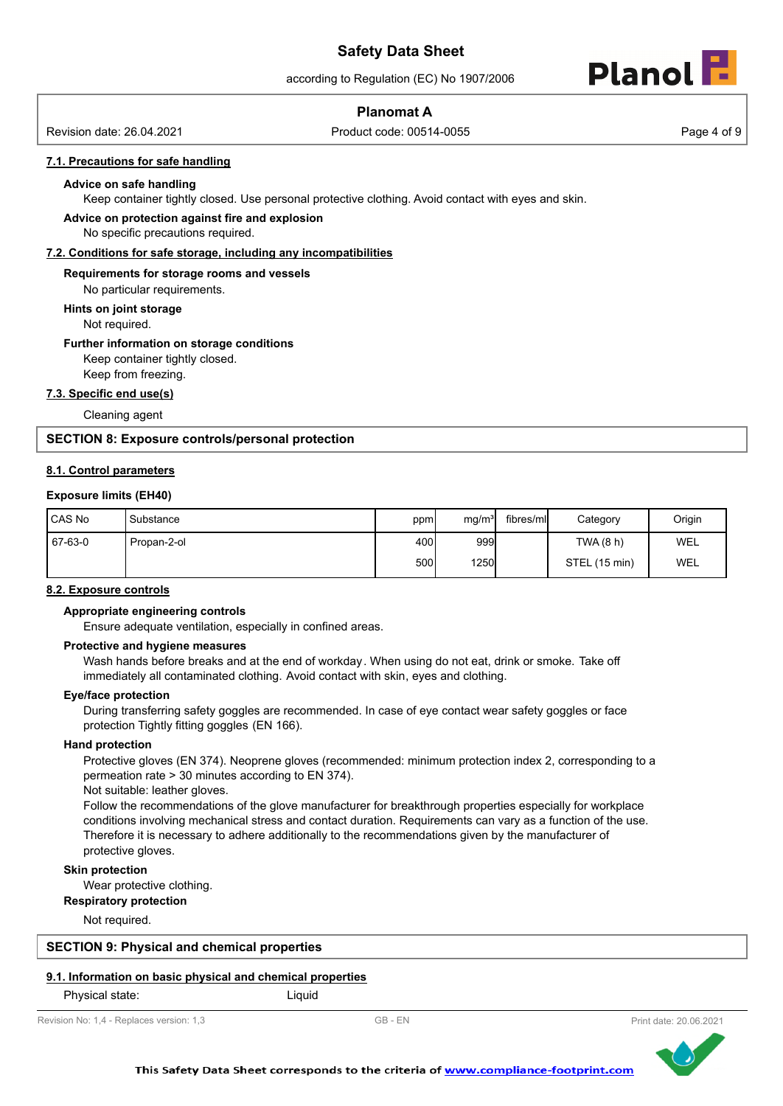according to Regulation (EC) No 1907/2006



# **Planomat A**

Revision date: 26.04.2021 Product code: 00514-0055 Page 4 of 9

#### **7.1. Precautions for safe handling**

#### **Advice on safe handling**

Keep container tightly closed. Use personal protective clothing. Avoid contact with eyes and skin.

#### **Advice on protection against fire and explosion**

No specific precautions required.

**7.2. Conditions for safe storage, including any incompatibilities**

#### **Requirements for storage rooms and vessels**

No particular requirements.

#### **Hints on joint storage**

Not required.

#### **Further information on storage conditions**

Keep container tightly closed.

Keep from freezing.

#### **7.3. Specific end use(s)**

Cleaning agent

#### **SECTION 8: Exposure controls/personal protection**

#### **8.1. Control parameters**

#### **Exposure limits (EH40)**

| CAS No  | Substance   | ppm  | mg/m <sup>3</sup> | fibres/mll | Category      | Origin     |
|---------|-------------|------|-------------------|------------|---------------|------------|
| 67-63-0 | Propan-2-ol | 400l | 999               |            | TWA (8 h)     | <b>WEL</b> |
|         |             | 500l | 1250              |            | STEL (15 min) | WEL        |

#### **8.2. Exposure controls**

#### **Appropriate engineering controls**

Ensure adequate ventilation, especially in confined areas.

#### **Protective and hygiene measures**

Wash hands before breaks and at the end of workday. When using do not eat, drink or smoke. Take off immediately all contaminated clothing. Avoid contact with skin, eyes and clothing.

#### **Eye/face protection**

During transferring safety goggles are recommended. In case of eye contact wear safety goggles or face protection Tightly fitting goggles (EN 166).

#### **Hand protection**

Protective gloves (EN 374). Neoprene gloves (recommended: minimum protection index 2, corresponding to a permeation rate > 30 minutes according to EN 374).

Not suitable: leather gloves.

Follow the recommendations of the glove manufacturer for breakthrough properties especially for workplace conditions involving mechanical stress and contact duration. Requirements can vary as a function of the use. Therefore it is necessary to adhere additionally to the recommendations given by the manufacturer of protective gloves.

#### **Skin protection**

Wear protective clothing.

#### **Respiratory protection**

Not required.

#### **SECTION 9: Physical and chemical properties**

#### **9.1. Information on basic physical and chemical properties**

Physical state: Liquid

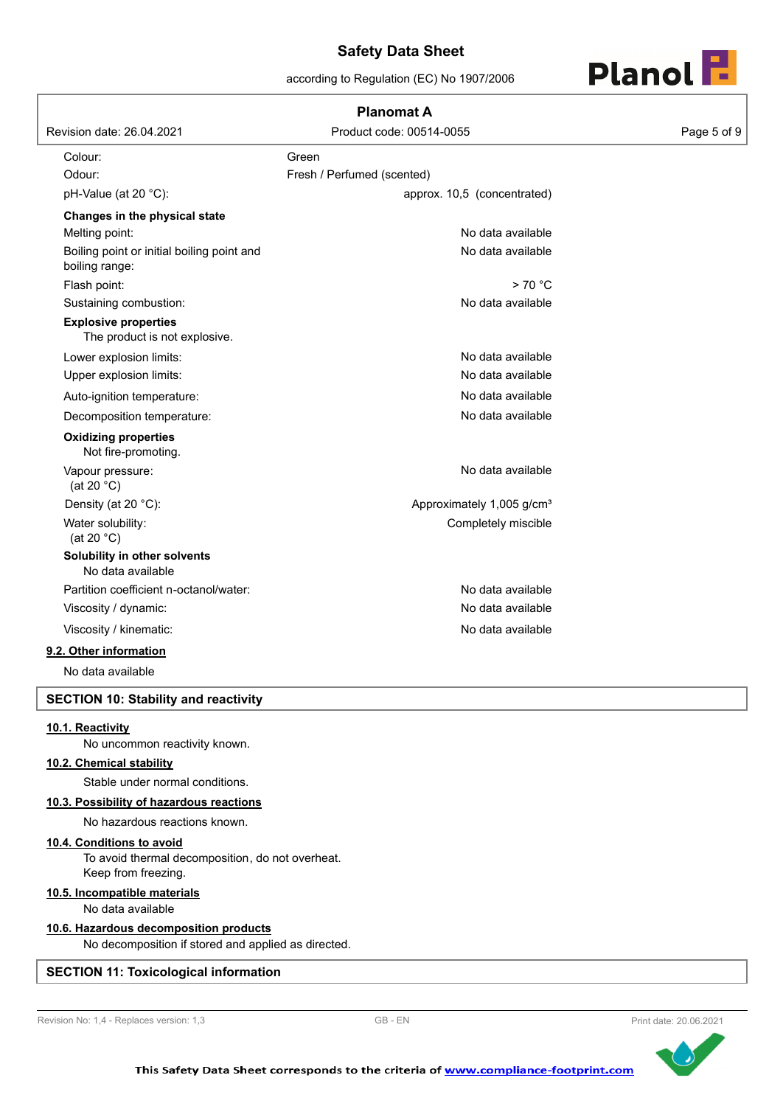according to Regulation (EC) No 1907/2006



|                                                              | <b>Planomat A</b>                     |             |
|--------------------------------------------------------------|---------------------------------------|-------------|
| Revision date: 26.04.2021                                    | Product code: 00514-0055              | Page 5 of 9 |
| Colour:                                                      | Green                                 |             |
| Odour:                                                       | Fresh / Perfumed (scented)            |             |
| pH-Value (at 20 °C):                                         | approx. 10,5 (concentrated)           |             |
| Changes in the physical state                                |                                       |             |
| Melting point:                                               | No data available                     |             |
| Boiling point or initial boiling point and<br>boiling range: | No data available                     |             |
| Flash point:                                                 | > 70 °C                               |             |
| Sustaining combustion:                                       | No data available                     |             |
| <b>Explosive properties</b><br>The product is not explosive. |                                       |             |
| Lower explosion limits:                                      | No data available                     |             |
| Upper explosion limits:                                      | No data available                     |             |
| Auto-ignition temperature:                                   | No data available                     |             |
| Decomposition temperature:                                   | No data available                     |             |
| <b>Oxidizing properties</b><br>Not fire-promoting.           |                                       |             |
| Vapour pressure:<br>(at 20 $°C$ )                            | No data available                     |             |
| Density (at 20 °C):                                          | Approximately 1,005 g/cm <sup>3</sup> |             |
| Water solubility:<br>(at 20 $°C$ )                           | Completely miscible                   |             |
| Solubility in other solvents<br>No data available            |                                       |             |
| Partition coefficient n-octanol/water:                       | No data available                     |             |
| Viscosity / dynamic:                                         | No data available                     |             |
| Viscosity / kinematic:                                       | No data available                     |             |
| 9.2. Other information                                       |                                       |             |
| No data available                                            |                                       |             |
|                                                              |                                       |             |

# **SECTION 10: Stability and reactivity**

# **10.1. Reactivity**

No uncommon reactivity known.

#### **10.2. Chemical stability**

Stable under normal conditions.

#### **10.3. Possibility of hazardous reactions**

No hazardous reactions known.

## **10.4. Conditions to avoid**

To avoid thermal decomposition, do not overheat. Keep from freezing.

### **10.5. Incompatible materials**

No data available

#### **10.6. Hazardous decomposition products**

No decomposition if stored and applied as directed.

# **SECTION 11: Toxicological information**



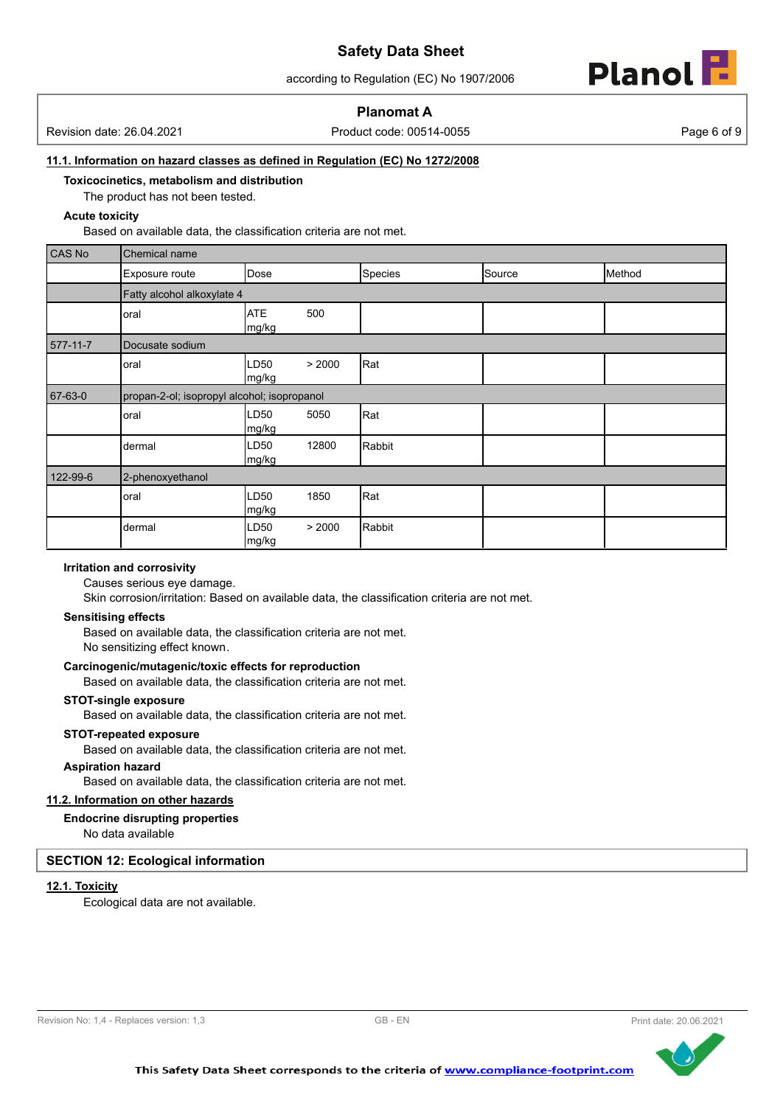according to Regulation (EC) No 1907/2006



# **Planomat A**

Revision date: 26.04.2021 Product code: 00514-0055 Page 6 of 9

#### **11.1. Information on hazard classes as defined in Regulation (EC) No 1272/2008**

**Toxicocinetics, metabolism and distribution**

The product has not been tested.

## **Acute toxicity**

Based on available data, the classification criteria are not met.

| CAS No   | Chemical name                               |                     |        |         |        |        |
|----------|---------------------------------------------|---------------------|--------|---------|--------|--------|
|          | Exposure route                              | Dose                |        | Species | Source | Method |
|          | Fatty alcohol alkoxylate 4                  |                     |        |         |        |        |
|          | oral                                        | <b>ATE</b><br>mg/kg | 500    |         |        |        |
| 577-11-7 | Docusate sodium                             |                     |        |         |        |        |
|          | oral                                        | LD50<br>mg/kg       | > 2000 | Rat     |        |        |
| 67-63-0  | propan-2-ol; isopropyl alcohol; isopropanol |                     |        |         |        |        |
|          | oral                                        | LD50<br>mg/kg       | 5050   | Rat     |        |        |
|          | dermal                                      | LD50<br>mg/kg       | 12800  | Rabbit  |        |        |
| 122-99-6 | 2-phenoxyethanol                            |                     |        |         |        |        |
|          | oral                                        | LD50<br>mg/kg       | 1850   | Rat     |        |        |
|          | dermal                                      | LD50<br> mg/kg      | > 2000 | Rabbit  |        |        |

#### **Irritation and corrosivity**

Causes serious eye damage.

Skin corrosion/irritation: Based on available data, the classification criteria are not met.

#### **Sensitising effects**

Based on available data, the classification criteria are not met. No sensitizing effect known.

### **Carcinogenic/mutagenic/toxic effects for reproduction**

Based on available data, the classification criteria are not met.

#### **STOT-single exposure**

Based on available data, the classification criteria are not met.

### **STOT-repeated exposure**

Based on available data, the classification criteria are not met.

#### **Aspiration hazard**

Based on available data, the classification criteria are not met.

# **11.2. Information on other hazards**

# **Endocrine disrupting properties**

No data available

## **SECTION 12: Ecological information**

# **12.1. Toxicity**

Ecological data are not available.

```
Revision No: 1,4 - Replaces version: 1,3 GB - EN GB - EN Print date: 20.06.2021
```
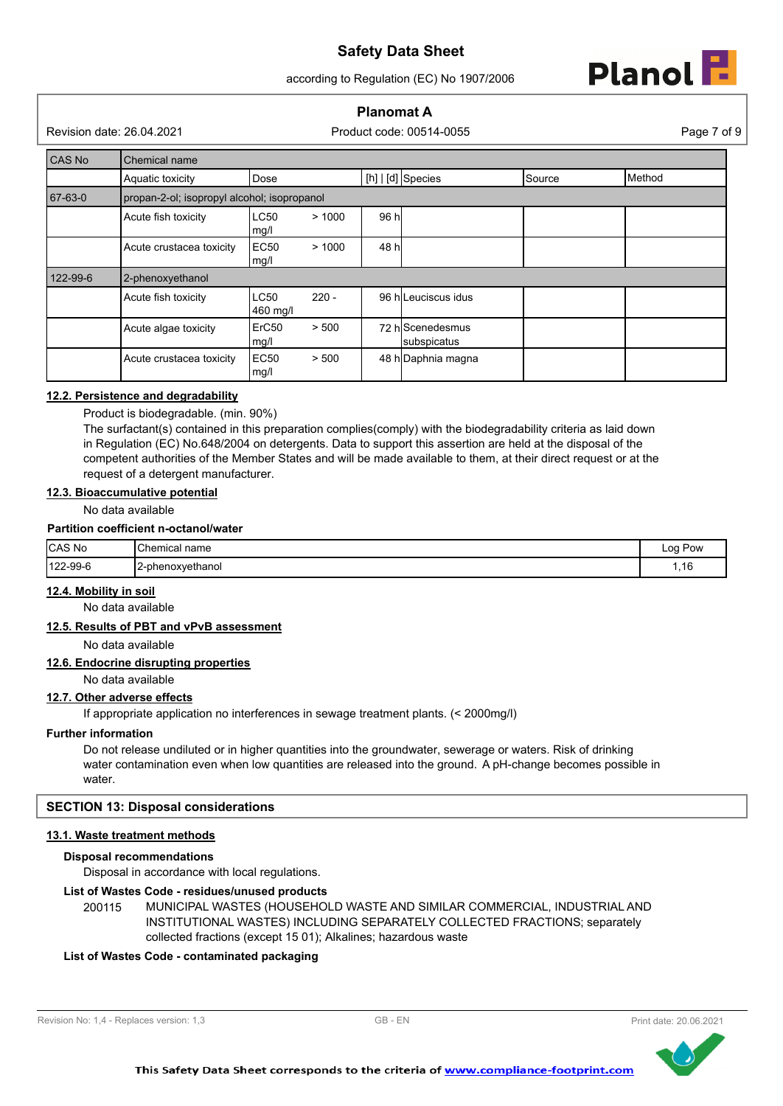according to Regulation (EC) No 1907/2006



# **Planomat A**

Revision date: 26.04.2021 Product code: 00514-0055 Page 7 of 9

| CAS No   | Chemical name                                             |                                             |         |       |                                 |        |  |
|----------|-----------------------------------------------------------|---------------------------------------------|---------|-------|---------------------------------|--------|--|
|          | $[h]   [d]$ Species<br>Source<br>Dose<br>Aquatic toxicity |                                             |         |       |                                 | Method |  |
| 67-63-0  |                                                           | propan-2-ol; isopropyl alcohol; isopropanol |         |       |                                 |        |  |
|          | Acute fish toxicity                                       | LC50<br>mg/l                                | >1000   | 96 h  |                                 |        |  |
|          | Acute crustacea toxicity                                  | EC <sub>50</sub><br>mg/l                    | >1000   | 48 hl |                                 |        |  |
| 122-99-6 | 2-phenoxyethanol                                          |                                             |         |       |                                 |        |  |
|          | Acute fish toxicity                                       | <b>LC50</b><br>460 mg/l                     | $220 -$ |       | 96 hlLeuciscus idus             |        |  |
|          | Acute algae toxicity                                      | ErC <sub>50</sub><br>mg/l                   | > 500   |       | 72 hlScenedesmus<br>subspicatus |        |  |
|          | Acute crustacea toxicity                                  | EC50<br>mg/l                                | > 500   |       | 48 h Daphnia magna              |        |  |

# **12.2. Persistence and degradability**

Product is biodegradable. (min. 90%)

The surfactant(s) contained in this preparation complies(comply) with the biodegradability criteria as laid down in Regulation (EC) No.648/2004 on detergents. Data to support this assertion are held at the disposal of the competent authorities of the Member States and will be made available to them, at their direct request or at the request of a detergent manufacturer.

## **12.3. Bioaccumulative potential**

No data available

#### **Partition coefficient n-octanol/water**

| <b>CAS No</b>  | <b>Chemical</b><br>name  | Log Pow<br>. |
|----------------|--------------------------|--------------|
| $122 - 99 - 6$ | . .<br>12-phenoxyethanol | .,16         |

# **12.4. Mobility in soil**

No data available

#### **12.5. Results of PBT and vPvB assessment**

No data available

#### **12.6. Endocrine disrupting properties**

No data available

# **12.7. Other adverse effects**

If appropriate application no interferences in sewage treatment plants. (< 2000mg/l)

#### **Further information**

Do not release undiluted or in higher quantities into the groundwater, sewerage or waters. Risk of drinking water contamination even when low quantities are released into the ground. A pH-change becomes possible in water.

#### **SECTION 13: Disposal considerations**

# **13.1. Waste treatment methods**

#### **Disposal recommendations**

Disposal in accordance with local regulations.

#### **List of Wastes Code - residues/unused products**

200115 MUNICIPAL WASTES (HOUSEHOLD WASTE AND SIMILAR COMMERCIAL, INDUSTRIAL AND INSTITUTIONAL WASTES) INCLUDING SEPARATELY COLLECTED FRACTIONS; separately collected fractions (except 15 01); Alkalines; hazardous waste

# **List of Wastes Code - contaminated packaging**



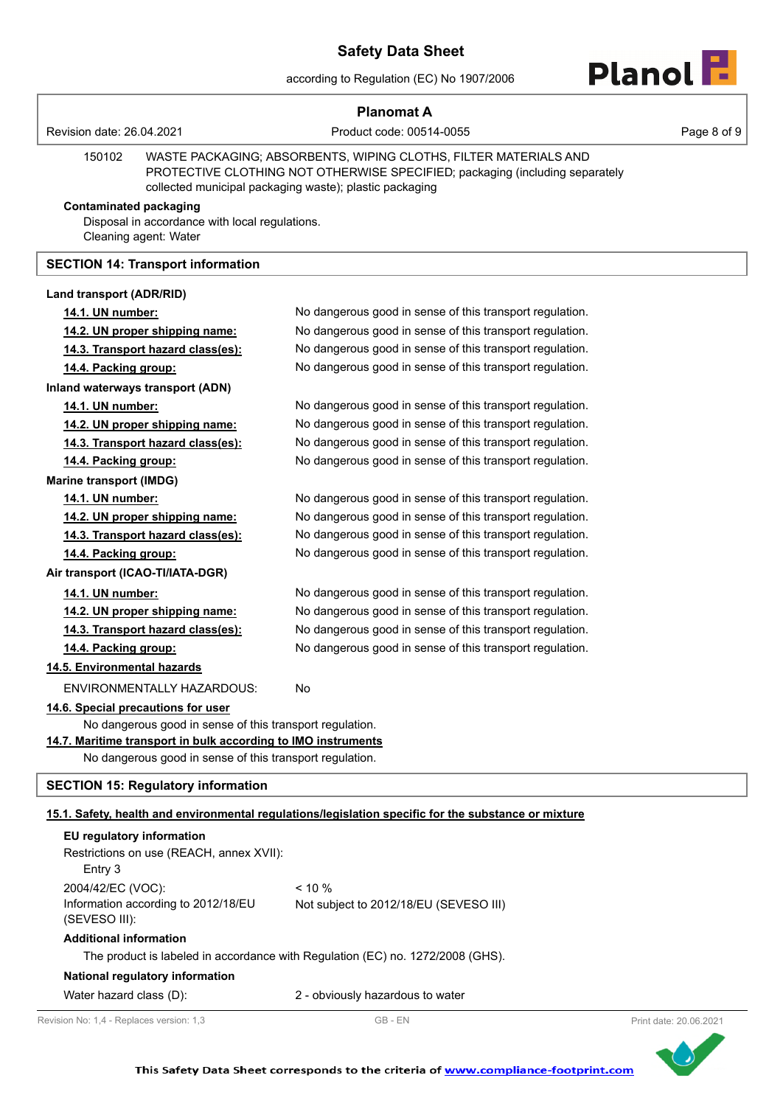according to Regulation (EC) No 1907/2006



|                                |                                                                         | <b>Planomat A</b>                                                                                                                                                                                           |             |
|--------------------------------|-------------------------------------------------------------------------|-------------------------------------------------------------------------------------------------------------------------------------------------------------------------------------------------------------|-------------|
| Revision date: 26.04.2021      |                                                                         | Product code: 00514-0055                                                                                                                                                                                    | Page 8 of 9 |
| 150102                         |                                                                         | WASTE PACKAGING; ABSORBENTS, WIPING CLOTHS, FILTER MATERIALS AND<br>PROTECTIVE CLOTHING NOT OTHERWISE SPECIFIED; packaging (including separately<br>collected municipal packaging waste); plastic packaging |             |
| <b>Contaminated packaging</b>  | Disposal in accordance with local regulations.<br>Cleaning agent: Water |                                                                                                                                                                                                             |             |
|                                | <b>SECTION 14: Transport information</b>                                |                                                                                                                                                                                                             |             |
| Land transport (ADR/RID)       |                                                                         |                                                                                                                                                                                                             |             |
| 14.1. UN number:               |                                                                         | No dangerous good in sense of this transport regulation.                                                                                                                                                    |             |
|                                | 14.2. UN proper shipping name:                                          | No dangerous good in sense of this transport regulation.                                                                                                                                                    |             |
|                                | 14.3. Transport hazard class(es):                                       | No dangerous good in sense of this transport regulation.                                                                                                                                                    |             |
| 14.4. Packing group:           |                                                                         | No dangerous good in sense of this transport regulation.                                                                                                                                                    |             |
|                                | Inland waterways transport (ADN)                                        |                                                                                                                                                                                                             |             |
| 14.1. UN number:               |                                                                         | No dangerous good in sense of this transport regulation.                                                                                                                                                    |             |
|                                | 14.2. UN proper shipping name:                                          | No dangerous good in sense of this transport regulation.                                                                                                                                                    |             |
|                                | 14.3. Transport hazard class(es):                                       | No dangerous good in sense of this transport regulation.                                                                                                                                                    |             |
| 14.4. Packing group:           |                                                                         | No dangerous good in sense of this transport regulation.                                                                                                                                                    |             |
| <b>Marine transport (IMDG)</b> |                                                                         |                                                                                                                                                                                                             |             |
| 14.1. UN number:               |                                                                         | No dangerous good in sense of this transport regulation.                                                                                                                                                    |             |
|                                | 14.2. UN proper shipping name:                                          | No dangerous good in sense of this transport regulation.                                                                                                                                                    |             |
| 14.4. Packing group:           | 14.3. Transport hazard class(es):                                       | No dangerous good in sense of this transport regulation.<br>No dangerous good in sense of this transport regulation.                                                                                        |             |
|                                | Air transport (ICAO-TI/IATA-DGR)                                        |                                                                                                                                                                                                             |             |
|                                |                                                                         | No dangerous good in sense of this transport regulation.                                                                                                                                                    |             |
| 14.1. UN number:               | 14.2. UN proper shipping name:                                          | No dangerous good in sense of this transport regulation.                                                                                                                                                    |             |
|                                | 14.3. Transport hazard class(es):                                       | No dangerous good in sense of this transport regulation.                                                                                                                                                    |             |
| 14.4. Packing group:           |                                                                         | No dangerous good in sense of this transport regulation.                                                                                                                                                    |             |
| 14.5. Environmental hazards    |                                                                         |                                                                                                                                                                                                             |             |
|                                | ENVIRONMENTALLY HAZARDOUS:                                              | No                                                                                                                                                                                                          |             |
|                                | 14.6. Special precautions for user                                      |                                                                                                                                                                                                             |             |
|                                | No dangerous good in sense of this transport regulation.                |                                                                                                                                                                                                             |             |
|                                | 14.7. Maritime transport in bulk according to IMO instruments           |                                                                                                                                                                                                             |             |
|                                | No dangerous good in sense of this transport regulation.                |                                                                                                                                                                                                             |             |
|                                | <b>SECTION 15: Regulatory information</b>                               |                                                                                                                                                                                                             |             |
|                                |                                                                         | 15.1. Safety, health and environmental regulations/legislation specific for the substance or mixture                                                                                                        |             |
| EU regulatory information      |                                                                         |                                                                                                                                                                                                             |             |
| Entry 3                        | Restrictions on use (REACH, annex XVII):                                |                                                                                                                                                                                                             |             |
| 2004/42/EC (VOC):              |                                                                         | $< 10 \%$                                                                                                                                                                                                   |             |
| (SEVESO III):                  | Information according to 2012/18/EU                                     | Not subject to 2012/18/EU (SEVESO III)                                                                                                                                                                      |             |
| <b>Additional information</b>  |                                                                         |                                                                                                                                                                                                             |             |
|                                |                                                                         | The product is labeled in accordance with Regulation (EC) no. 1272/2008 (GHS).                                                                                                                              |             |
|                                | National regulatory information                                         |                                                                                                                                                                                                             |             |
| Water hazard class (D):        |                                                                         | 2 - obviously hazardous to water                                                                                                                                                                            |             |

Revision No: 1,4 - Replaces version: 1,3 GB - EN GB - EN Print date: 20.06.2021

ľ